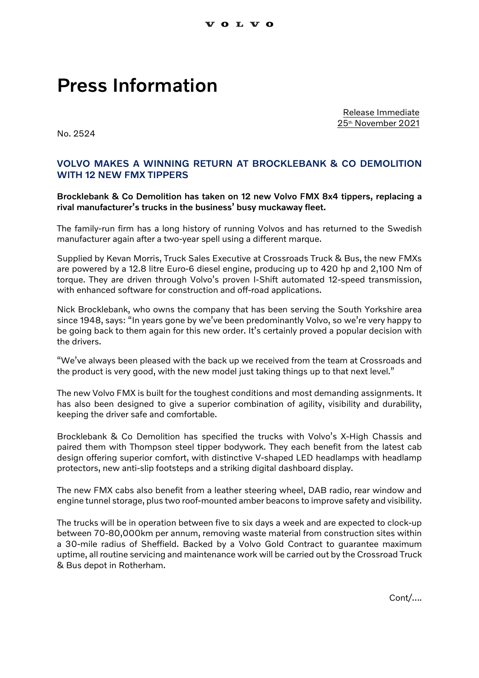## Press Information

Release Immediate 25th November 2021

No. 2524

## VOLVO MAKES A WINNING RETURN AT BROCKLEBANK & CO DEMOLITION WITH 12 NEW FMX TIPPERS

Brocklebank & Co Demolition has taken on 12 new Volvo FMX 8x4 tippers, replacing a rival manufacturer's trucks in the business' busy muckaway fleet.

The family-run firm has a long history of running Volvos and has returned to the Swedish manufacturer again after a two-year spell using a different marque.

Supplied by Kevan Morris, Truck Sales Executive at Crossroads Truck & Bus, the new FMXs are powered by a 12.8 litre Euro-6 diesel engine, producing up to 420 hp and 2,100 Nm of torque. They are driven through Volvo's proven I-Shift automated 12-speed transmission, with enhanced software for construction and off-road applications.

Nick Brocklebank, who owns the company that has been serving the South Yorkshire area since 1948, says: "In years gone by we've been predominantly Volvo, so we're very happy to be going back to them again for this new order. It's certainly proved a popular decision with the drivers.

"We've always been pleased with the back up we received from the team at Crossroads and the product is very good, with the new model just taking things up to that next level."

The new Volvo FMX is built for the toughest conditions and most demanding assignments. It has also been designed to give a superior combination of agility, visibility and durability, keeping the driver safe and comfortable.

Brocklebank & Co Demolition has specified the trucks with Volvo's X-High Chassis and paired them with Thompson steel tipper bodywork. They each benefit from the latest cab design offering superior comfort, with distinctive V-shaped LED headlamps with headlamp protectors, new anti-slip footsteps and a striking digital dashboard display.

The new FMX cabs also benefit from a leather steering wheel, DAB radio, rear window and engine tunnel storage, plus two roof-mounted amber beacons to improve safety and visibility.

The trucks will be in operation between five to six days a week and are expected to clock-up between 70-80,000km per annum, removing waste material from construction sites within a 30-mile radius of Sheffield. Backed by a Volvo Gold Contract to guarantee maximum uptime, all routine servicing and maintenance work will be carried out by the Crossroad Truck & Bus depot in Rotherham.

Cont/….